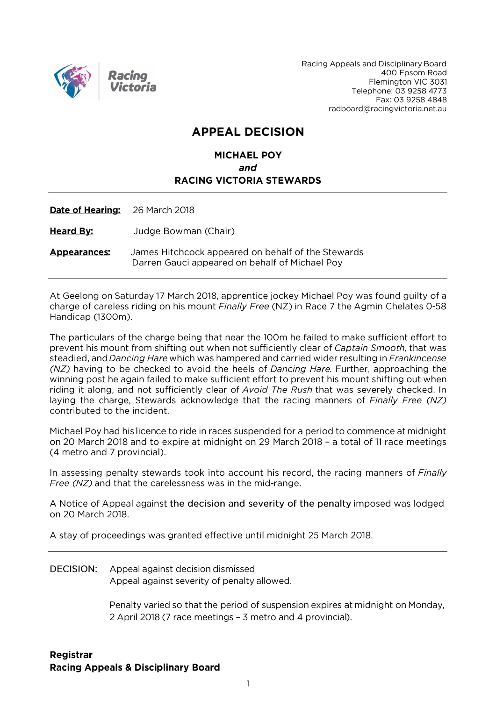

Racing Appeals and Disciplinary Board 400 Epsom Road Flemington VIC 3031 Telephone: 03 9258 4773 Fax: 03 9258 4848 radboard@racingvictoria.net.au

## **APPEAL DECISION**

### **MICHAEL POY** and **RACING VICTORIA STEWARDS**

Date of Hearing: 26 March 2018

**Heard By:** Judge Bowman (Chair)

**Appearances:** James Hitchcock appeared on behalf of the Stewards Darren Gauci appeared on behalf of Michael Poy

At Geelong on Saturday 17 March 2018, apprentice jockey Michael Poy was found guilty of a charge of careless riding on his mount *Finally Free* (NZ) in Race 7 the Agmin Chelates 0-58 Handicap (1300m).

The particulars of the charge being that near the 100m he failed to make sufficient effort to prevent his mount from shifting out when not sufficiently clear of Captain Smooth, that was steadied, and Dancing Hare which was hampered and carried wider resulting in Frankincense (NZ) having to be checked to avoid the heels of Dancing Hare. Further, approaching the winning post he again failed to make sufficient effort to prevent his mount shifting out when riding it along, and not sufficiently clear of Avoid The Rush that was severely checked. In laying the charge, Stewards acknowledge that the racing manners of Finally Free (NZ) contributed to the incident.

Michael Poy had his licence to ride in races suspended for a period to commence at midnight on 20 March 2018 and to expire at midnight on 29 March 2018 - a total of 11 race meetings (4 metro and 7 provincial).

In assessing penalty stewards took into account his record, the racing manners of *Finally Free (NZ)* and that the carelessness was in the mid-range.

A Notice of Appeal against the decision and severity of the penalty imposed was lodged on 20 March 2018.

A stay of proceedings was granted effective until midnight 25 March 2018.

**DECISION:** Appeal against decision dismissed Appeal against severity of penalty allowed.

> Penalty varied so that the period of suspension expires at midnight on Monday, 2 April 2018 (7 race meetings - 3 metro and 4 provincial).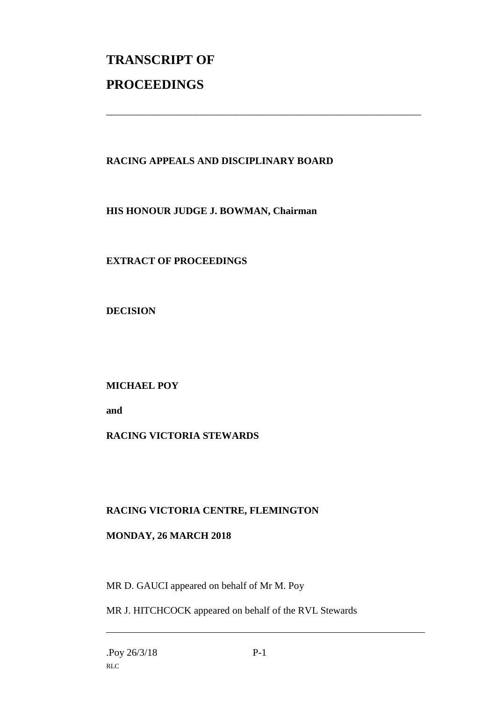# **TRANSCRIPT OF PROCEEDINGS**

#### **RACING APPEALS AND DISCIPLINARY BOARD**

\_\_\_\_\_\_\_\_\_\_\_\_\_\_\_\_\_\_\_\_\_\_\_\_\_\_\_\_\_\_\_\_\_\_\_\_\_\_\_\_\_\_\_\_\_\_\_\_\_\_\_\_\_\_\_\_\_\_\_\_\_\_\_

**HIS HONOUR JUDGE J. BOWMAN, Chairman**

**EXTRACT OF PROCEEDINGS**

**DECISION**

**MICHAEL POY**

**and** 

#### **RACING VICTORIA STEWARDS**

#### **RACING VICTORIA CENTRE, FLEMINGTON**

#### **MONDAY, 26 MARCH 2018**

MR D. GAUCI appeared on behalf of Mr M. Poy

MR J. HITCHCOCK appeared on behalf of the RVL Stewards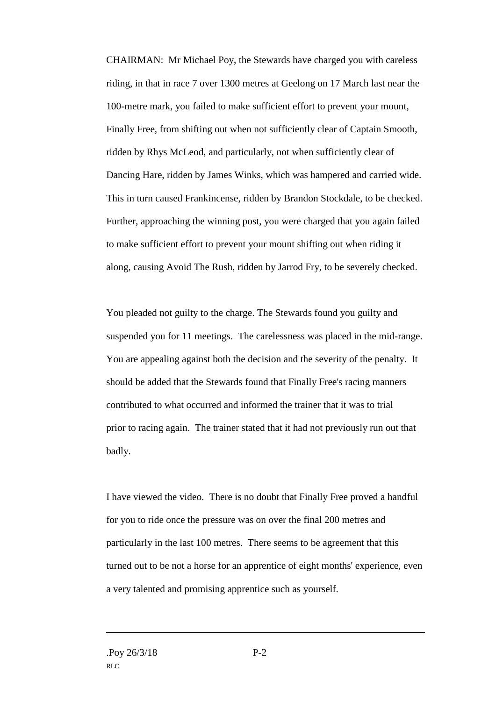CHAIRMAN: Mr Michael Poy, the Stewards have charged you with careless riding, in that in race 7 over 1300 metres at Geelong on 17 March last near the 100-metre mark, you failed to make sufficient effort to prevent your mount, Finally Free, from shifting out when not sufficiently clear of Captain Smooth, ridden by Rhys McLeod, and particularly, not when sufficiently clear of Dancing Hare, ridden by James Winks, which was hampered and carried wide. This in turn caused Frankincense, ridden by Brandon Stockdale, to be checked. Further, approaching the winning post, you were charged that you again failed to make sufficient effort to prevent your mount shifting out when riding it along, causing Avoid The Rush, ridden by Jarrod Fry, to be severely checked.

You pleaded not guilty to the charge. The Stewards found you guilty and suspended you for 11 meetings. The carelessness was placed in the mid-range. You are appealing against both the decision and the severity of the penalty. It should be added that the Stewards found that Finally Free's racing manners contributed to what occurred and informed the trainer that it was to trial prior to racing again. The trainer stated that it had not previously run out that badly.

I have viewed the video. There is no doubt that Finally Free proved a handful for you to ride once the pressure was on over the final 200 metres and particularly in the last 100 metres. There seems to be agreement that this turned out to be not a horse for an apprentice of eight months' experience, even a very talented and promising apprentice such as yourself.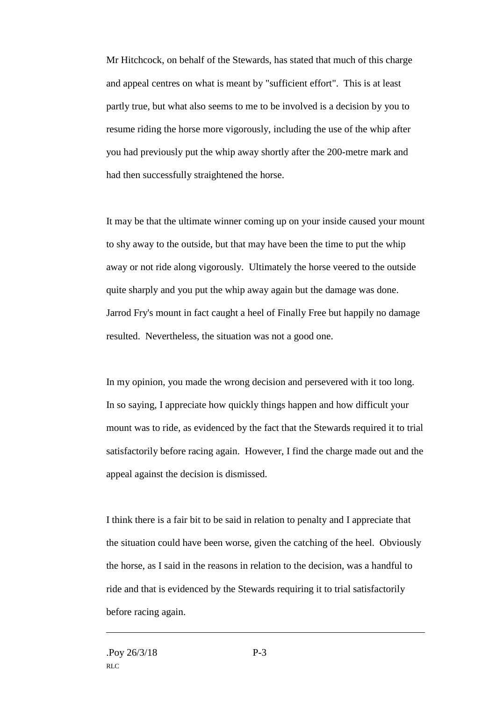Mr Hitchcock, on behalf of the Stewards, has stated that much of this charge and appeal centres on what is meant by "sufficient effort". This is at least partly true, but what also seems to me to be involved is a decision by you to resume riding the horse more vigorously, including the use of the whip after you had previously put the whip away shortly after the 200-metre mark and had then successfully straightened the horse.

It may be that the ultimate winner coming up on your inside caused your mount to shy away to the outside, but that may have been the time to put the whip away or not ride along vigorously. Ultimately the horse veered to the outside quite sharply and you put the whip away again but the damage was done. Jarrod Fry's mount in fact caught a heel of Finally Free but happily no damage resulted. Nevertheless, the situation was not a good one.

In my opinion, you made the wrong decision and persevered with it too long. In so saying, I appreciate how quickly things happen and how difficult your mount was to ride, as evidenced by the fact that the Stewards required it to trial satisfactorily before racing again. However, I find the charge made out and the appeal against the decision is dismissed.

I think there is a fair bit to be said in relation to penalty and I appreciate that the situation could have been worse, given the catching of the heel. Obviously the horse, as I said in the reasons in relation to the decision, was a handful to ride and that is evidenced by the Stewards requiring it to trial satisfactorily before racing again.